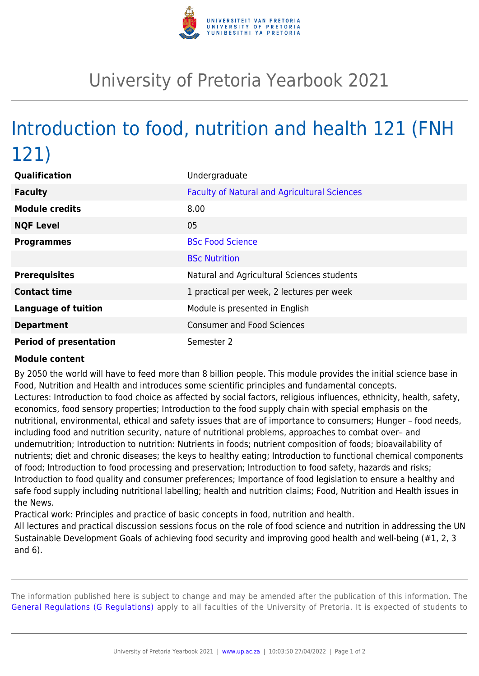

## University of Pretoria Yearbook 2021

## Introduction to food, nutrition and health 121 (FNH 121)

| Qualification                 | Undergraduate                                       |
|-------------------------------|-----------------------------------------------------|
| <b>Faculty</b>                | <b>Faculty of Natural and Agricultural Sciences</b> |
| <b>Module credits</b>         | 8.00                                                |
| <b>NQF Level</b>              | 05                                                  |
| <b>Programmes</b>             | <b>BSc Food Science</b>                             |
|                               | <b>BSc Nutrition</b>                                |
| <b>Prerequisites</b>          | Natural and Agricultural Sciences students          |
| <b>Contact time</b>           | 1 practical per week, 2 lectures per week           |
| <b>Language of tuition</b>    | Module is presented in English                      |
| <b>Department</b>             | <b>Consumer and Food Sciences</b>                   |
| <b>Period of presentation</b> | Semester 2                                          |

## **Module content**

By 2050 the world will have to feed more than 8 billion people. This module provides the initial science base in Food, Nutrition and Health and introduces some scientific principles and fundamental concepts. Lectures: Introduction to food choice as affected by social factors, religious influences, ethnicity, health, safety, economics, food sensory properties; Introduction to the food supply chain with special emphasis on the nutritional, environmental, ethical and safety issues that are of importance to consumers; Hunger – food needs, including food and nutrition security, nature of nutritional problems, approaches to combat over– and undernutrition; Introduction to nutrition: Nutrients in foods; nutrient composition of foods; bioavailability of nutrients; diet and chronic diseases; the keys to healthy eating; Introduction to functional chemical components of food; Introduction to food processing and preservation; Introduction to food safety, hazards and risks; Introduction to food quality and consumer preferences; Importance of food legislation to ensure a healthy and safe food supply including nutritional labelling; health and nutrition claims; Food, Nutrition and Health issues in the News.

Practical work: Principles and practice of basic concepts in food, nutrition and health.

All lectures and practical discussion sessions focus on the role of food science and nutrition in addressing the UN Sustainable Development Goals of achieving food security and improving good health and well-being (#1, 2, 3 and 6).

The information published here is subject to change and may be amended after the publication of this information. The [General Regulations \(G Regulations\)](https://www.up.ac.za/yearbooks/2021/rules/view/REG) apply to all faculties of the University of Pretoria. It is expected of students to